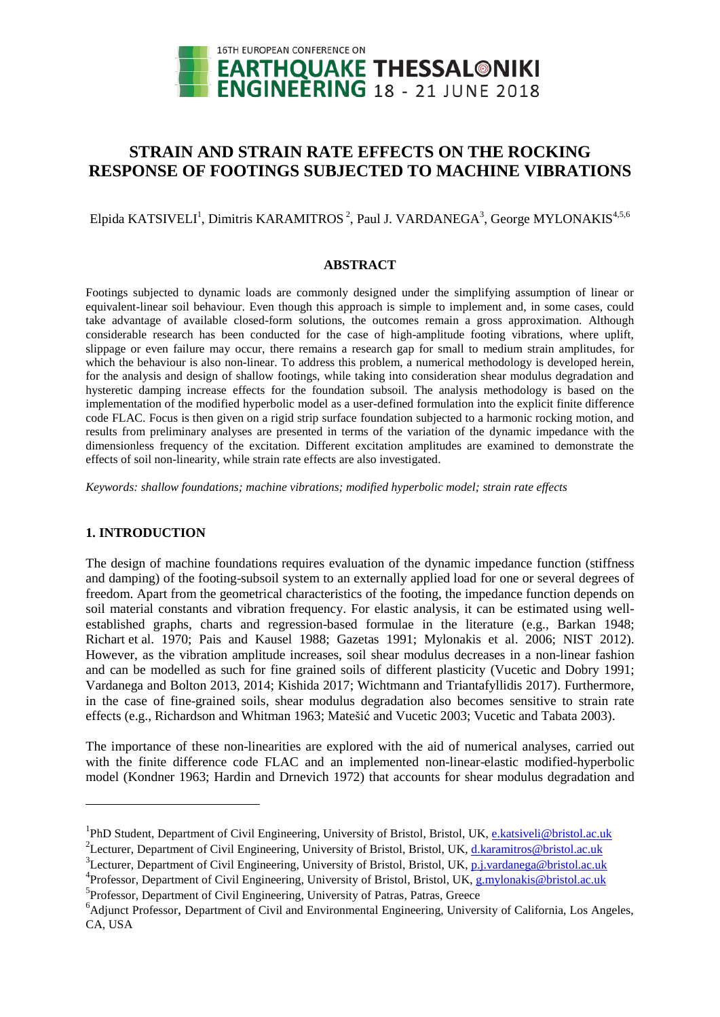

# **STRAIN AND STRAIN RATE EFFECTS ON THE ROCKING RESPONSE OF FOOTINGS SUBJECTED TO MACHINE VIBRATIONS**

Elpida KATSIVELI<sup>1</sup>, Dimitris KARAMITROS<sup>2</sup>, Paul J. VARDANEGA<sup>3</sup>, George MYLONAKIS<sup>4,5,6</sup>

### **ABSTRACT**

Footings subjected to dynamic loads are commonly designed under the simplifying assumption of linear or equivalent-linear soil behaviour. Even though this approach is simple to implement and, in some cases, could take advantage of available closed-form solutions, the outcomes remain a gross approximation. Although considerable research has been conducted for the case of high-amplitude footing vibrations, where uplift, slippage or even failure may occur, there remains a research gap for small to medium strain amplitudes, for which the behaviour is also non-linear. To address this problem, a numerical methodology is developed herein, for the analysis and design of shallow footings, while taking into consideration shear modulus degradation and hysteretic damping increase effects for the foundation subsoil. The analysis methodology is based on the implementation of the modified hyperbolic model as a user-defined formulation into the explicit finite difference code FLAC. Focus is then given on a rigid strip surface foundation subjected to a harmonic rocking motion, and results from preliminary analyses are presented in terms of the variation of the dynamic impedance with the dimensionless frequency of the excitation. Different excitation amplitudes are examined to demonstrate the effects of soil non-linearity, while strain rate effects are also investigated.

*Keywords: shallow foundations; machine vibrations; modified hyperbolic model; strain rate effects*

## **1. INTRODUCTION**

l

The design of machine foundations requires evaluation of the dynamic impedance function (stiffness and damping) of the footing-subsoil system to an externally applied load for one or several degrees of freedom. Apart from the geometrical characteristics of the footing, the impedance function depends on soil material constants and vibration frequency. For elastic analysis, it can be estimated using wellestablished graphs, charts and regression-based formulae in the literature (e.g., Barkan 1948; Richart et al. 1970; Pais and Kausel 1988; Gazetas 1991; Mylonakis et al. 2006; NIST 2012). However, as the vibration amplitude increases, soil shear modulus decreases in a non-linear fashion and can be modelled as such for fine grained soils of different plasticity (Vucetic and Dobry 1991; Vardanega and Bolton 2013, 2014; Kishida 2017; Wichtmann and Triantafyllidis 2017). Furthermore, in the case of fine-grained soils, shear modulus degradation also becomes sensitive to strain rate effects (e.g., Richardson and Whitman 1963; Matešić and Vucetic 2003; Vucetic and Tabata 2003).

The importance of these non-linearities are explored with the aid of numerical analyses, carried out with the finite difference code FLAC and an implemented non-linear-elastic modified-hyperbolic model (Kondner 1963; Hardin and Drnevich 1972) that accounts for shear modulus degradation and

<sup>&</sup>lt;sup>1</sup>PhD Student, Department of Civil Engineering, University of Bristol, Bristol, UK, e.katsiveli@bristol.ac.uk

<sup>&</sup>lt;sup>2</sup>Lecturer, Department of Civil Engineering, University of Bristol, Bristol, UK, *d.karamitros@bristol.ac.uk* 

<sup>&</sup>lt;sup>3</sup>Lecturer, Department of Civil Engineering, University of Bristol, Bristol, UK, p.j.vardanega@bristol.ac.uk

<sup>&</sup>lt;sup>4</sup> Professor, Department of Civil Engineering, University of Bristol, Bristol, UK, *g.mylonakis@bristol.ac.uk* <sup>5</sup> Professor, Department of Civil Engineering, University of Patras, Patras, Greece

<sup>&</sup>lt;sup>6</sup>Adjunct Professor, Department of Civil and Environmental Engineering, University of California, Los Angeles, CA, USA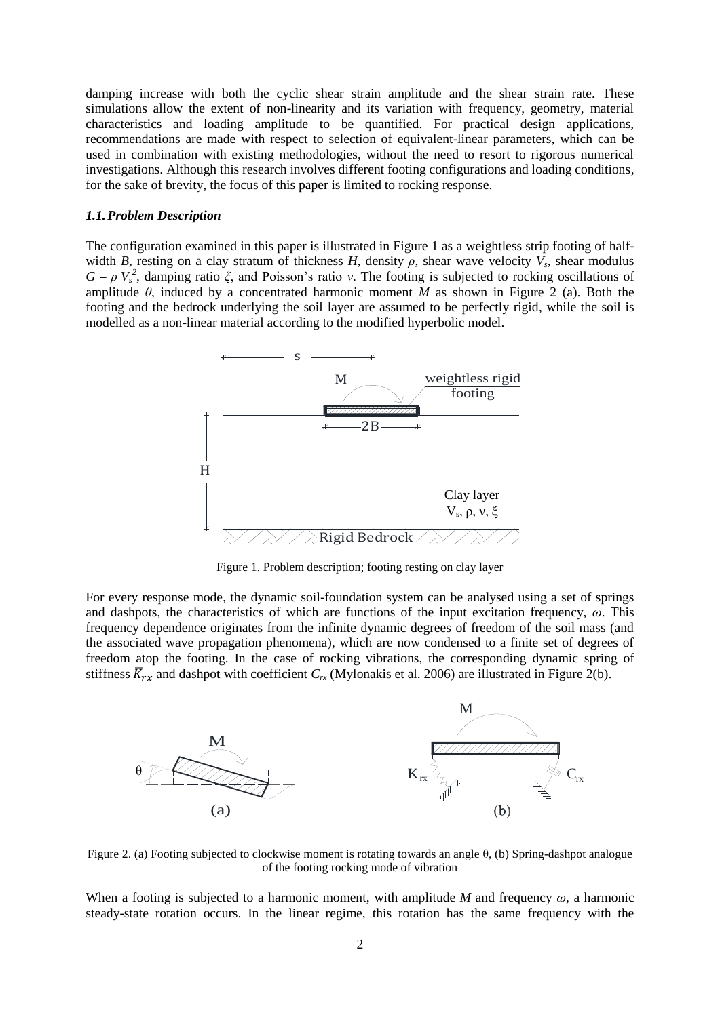damping increase with both the cyclic shear strain amplitude and the shear strain rate. These simulations allow the extent of non-linearity and its variation with frequency, geometry, material characteristics and loading amplitude to be quantified. For practical design applications, recommendations are made with respect to selection of equivalent-linear parameters, which can be used in combination with existing methodologies, without the need to resort to rigorous numerical investigations. Although this research involves different footing configurations and loading conditions, for the sake of brevity, the focus of this paper is limited to rocking response.

#### *1.1.Problem Description*

The configuration examined in this paper is illustrated in Figure 1 as a weightless strip footing of halfwidth *B*, resting on a clay stratum of thickness *H*, density  $\rho$ , shear wave velocity  $V_s$ , shear modulus  $G = \rho V_s^2$ , damping ratio  $\zeta$ , and Poisson's ratio *v*. The footing is subjected to rocking oscillations of amplitude  $\theta$ , induced by a concentrated harmonic moment *M* as shown in Figure 2 (a). Both the footing and the bedrock underlying the soil layer are assumed to be perfectly rigid, while the soil is modelled as a non-linear material according to the modified hyperbolic model.



Figure 1. Problem description; footing resting on clay layer

For every response mode, the dynamic soil-foundation system can be analysed using a set of springs and dashpots, the characteristics of which are functions of the input excitation frequency, *ω*. This frequency dependence originates from the infinite dynamic degrees of freedom of the soil mass (and the associated wave propagation phenomena), which are now condensed to a finite set of degrees of freedom atop the footing. In the case of rocking vibrations, the corresponding dynamic spring of stiffness  $\overline{K}_{rx}$  and dashpot with coefficient  $C_{rx}$  (Mylonakis et al. 2006) are illustrated in Figure 2(b).



Figure 2. (a) Footing subjected to clockwise moment is rotating towards an angle θ, (b) Spring-dashpot analogue of the footing rocking mode of vibration

When a footing is subjected to a harmonic moment, with amplitude *M* and frequency *ω*, a harmonic steady-state rotation occurs. In the linear regime, this rotation has the same frequency with the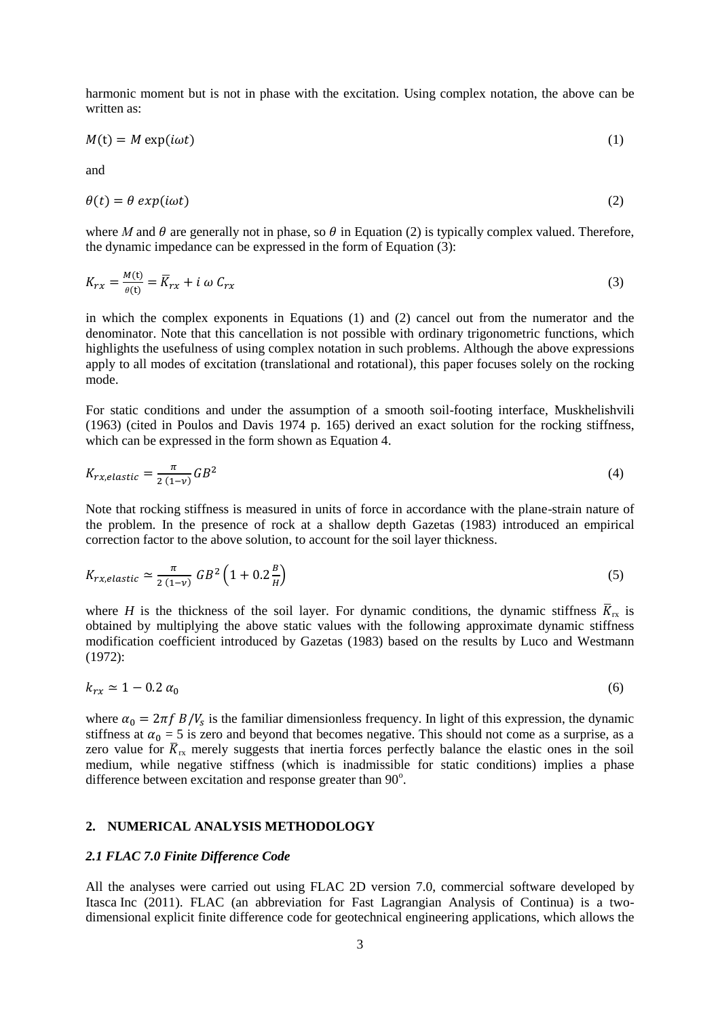harmonic moment but is not in phase with the excitation. Using complex notation, the above can be written as:

$$
M(t) = M \exp(i\omega t) \tag{1}
$$

and

$$
\theta(t) = \theta \exp(i\omega t) \tag{2}
$$

where *M* and  $\theta$  are generally not in phase, so  $\theta$  in Equation (2) is typically complex valued. Therefore, the dynamic impedance can be expressed in the form of Equation (3):

$$
K_{rx} = \frac{M(t)}{\theta(t)} = \overline{K}_{rx} + i \omega C_{rx}
$$
 (3)

in which the complex exponents in Equations (1) and (2) cancel out from the numerator and the denominator. Note that this cancellation is not possible with ordinary trigonometric functions, which highlights the usefulness of using complex notation in such problems. Although the above expressions apply to all modes of excitation (translational and rotational), this paper focuses solely on the rocking mode.

For static conditions and under the assumption of a smooth soil-footing interface, Muskhelishvili (1963) (cited in Poulos and Davis 1974 p. 165) derived an exact solution for the rocking stiffness, which can be expressed in the form shown as Equation 4.

$$
K_{rx,elastic} = \frac{\pi}{2(1-\nu)}GB^2\tag{4}
$$

Note that rocking stiffness is measured in units of force in accordance with the plane-strain nature of the problem. In the presence of rock at a shallow depth Gazetas (1983) introduced an empirical correction factor to the above solution, to account for the soil layer thickness.

$$
K_{rx,elastic} \simeq \frac{\pi}{2(1-\nu)} \; GB^2 \left(1 + 0.2 \frac{B}{H}\right) \tag{5}
$$

where *H* is the thickness of the soil layer. For dynamic conditions, the dynamic stiffness  $\bar{K}_{rx}$  is obtained by multiplying the above static values with the following approximate dynamic stiffness modification coefficient introduced by Gazetas (1983) based on the results by Luco and Westmann (1972):

$$
k_{rx} \simeq 1 - 0.2 \; \alpha_0 \tag{6}
$$

where  $\alpha_0 = 2\pi f B/V_s$  is the familiar dimensionless frequency. In light of this expression, the dynamic stiffness at  $\alpha_0 = 5$  is zero and beyond that becomes negative. This should not come as a surprise, as a zero value for  $\bar{K}_{rx}$  merely suggests that inertia forces perfectly balance the elastic ones in the soil medium, while negative stiffness (which is inadmissible for static conditions) implies a phase difference between excitation and response greater than  $90^\circ$ .

## **2. NUMERICAL ANALYSIS METHODOLOGY**

#### *2.1 FLAC 7.0 Finite Difference Code*

All the analyses were carried out using FLAC 2D version 7.0, commercial software developed by Itasca Inc (2011). FLAC (an abbreviation for Fast Lagrangian Analysis of Continua) is a twodimensional explicit finite difference code for geotechnical engineering applications, which allows the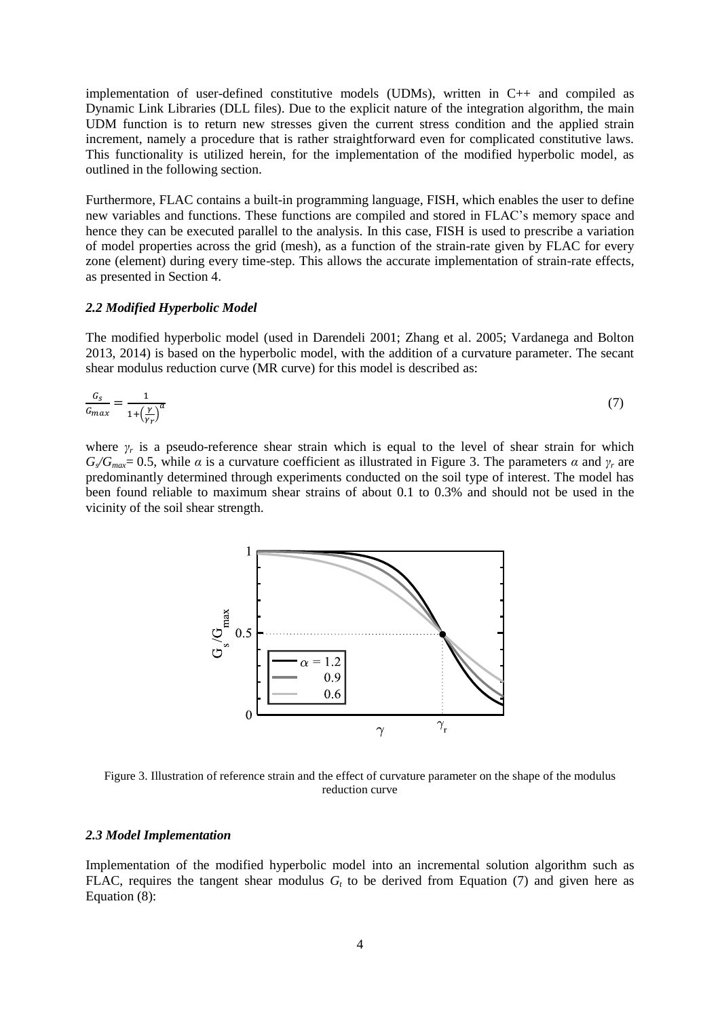implementation of user-defined constitutive models (UDMs), written in C++ and compiled as Dynamic Link Libraries (DLL files). Due to the explicit nature of the integration algorithm, the main UDM function is to return new stresses given the current stress condition and the applied strain increment, namely a procedure that is rather straightforward even for complicated constitutive laws. This functionality is utilized herein, for the implementation of the modified hyperbolic model, as outlined in the following section.

Furthermore, FLAC contains a built-in programming language, FISH, which enables the user to define new variables and functions. These functions are compiled and stored in FLAC's memory space and hence they can be executed parallel to the analysis. In this case, FISH is used to prescribe a variation of model properties across the grid (mesh), as a function of the strain-rate given by FLAC for every zone (element) during every time-step. This allows the accurate implementation of strain-rate effects, as presented in Section 4.

#### *2.2 Modified Hyperbolic Model*

The modified hyperbolic model (used in Darendeli 2001; Zhang et al. 2005; Vardanega and Bolton 2013, 2014) is based on the hyperbolic model, with the addition of a curvature parameter. The secant shear modulus reduction curve (MR curve) for this model is described as:

$$
\frac{G_S}{G_{max}} = \frac{1}{1 + \left(\frac{Y}{Y_T}\right)^a} \tag{7}
$$

where  $\gamma_r$  is a pseudo-reference shear strain which is equal to the level of shear strain for which  $G_{\text{max}}=0.5$ , while *α* is a curvature coefficient as illustrated in Figure 3. The parameters *α* and  $\gamma_r$  are predominantly determined through experiments conducted on the soil type of interest. The model has been found reliable to maximum shear strains of about 0.1 to 0.3% and should not be used in the vicinity of the soil shear strength.



Figure 3. Illustration of reference strain and the effect of curvature parameter on the shape of the modulus reduction curve

#### *2.3 Model Implementation*

Implementation of the modified hyperbolic model into an incremental solution algorithm such as FLAC, requires the tangent shear modulus  $G_t$  to be derived from Equation (7) and given here as Equation  $(8)$ :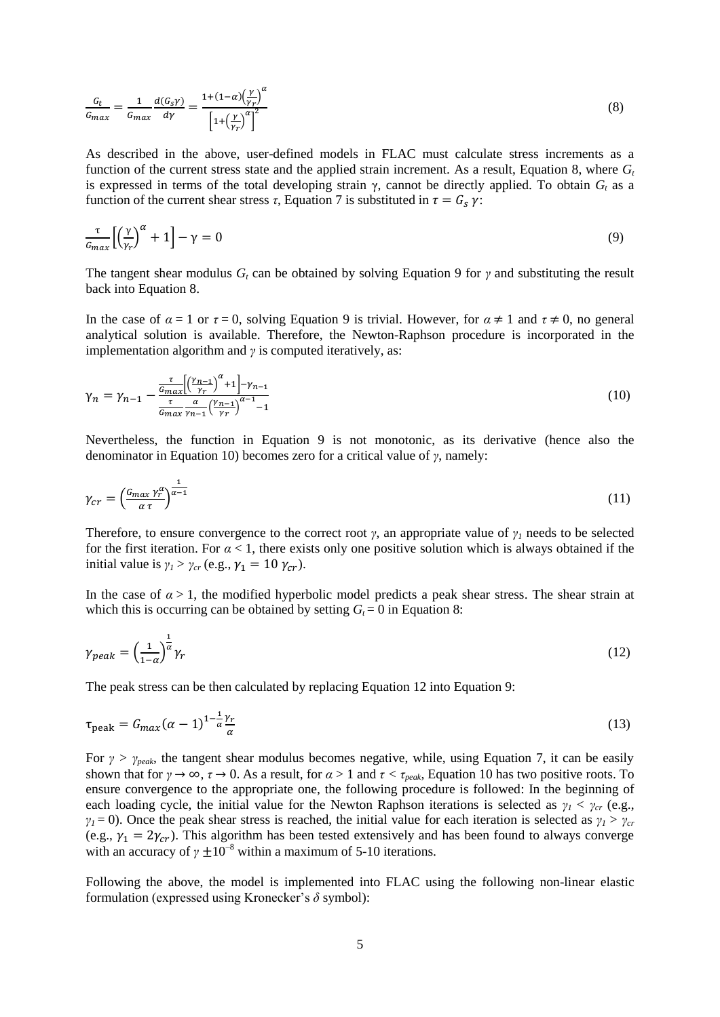$$
\frac{G_t}{G_{max}} = \frac{1}{G_{max}} \frac{d(G_s \gamma)}{d\gamma} = \frac{1 + (1 - \alpha) \left(\frac{\gamma}{\gamma_r}\right)^{\alpha}}{\left[1 + \left(\frac{\gamma}{\gamma_r}\right)^{\alpha}\right]^2} \tag{8}
$$

As described in the above, user-defined models in FLAC must calculate stress increments as a function of the current stress state and the applied strain increment. As a result, Equation 8, where *G<sup>t</sup>* is expressed in terms of the total developing strain  $\gamma$ , cannot be directly applied. To obtain  $G_t$  as a function of the current shear stress  $\tau$ , Equation 7 is substituted in  $\tau = G_s \gamma$ :

$$
\frac{\tau}{G_{max}} \left[ \left( \frac{\gamma}{\gamma_r} \right)^{\alpha} + 1 \right] - \gamma = 0 \tag{9}
$$

The tangent shear modulus *G<sup>t</sup>* can be obtained by solving Equation 9 for *γ* and substituting the result back into Equation 8.

In the case of  $\alpha = 1$  or  $\tau = 0$ , solving Equation 9 is trivial. However, for  $\alpha \neq 1$  and  $\tau \neq 0$ , no general analytical solution is available. Therefore, the Newton-Raphson procedure is incorporated in the implementation algorithm and *γ* is computed iteratively, as:

$$
\gamma_n = \gamma_{n-1} - \frac{\frac{\tau}{G_{max}} \left[ \left( \frac{\gamma_{n-1}}{\gamma_r} \right)^{\alpha} + 1 \right] - \gamma_{n-1}}{\frac{\tau}{G_{max}} \frac{\alpha}{\gamma_{n-1}} \left( \frac{\gamma_{n-1}}{\gamma_r} \right)^{\alpha - 1} - 1} \tag{10}
$$

Nevertheless, the function in Equation 9 is not monotonic, as its derivative (hence also the denominator in Equation 10) becomes zero for a critical value of *γ*, namely:

$$
\gamma_{cr} = \left(\frac{G_{max} \gamma_r^{\alpha}}{\alpha \tau}\right)^{\frac{1}{\alpha - 1}}\tag{11}
$$

Therefore, to ensure convergence to the correct root *γ*, an appropriate value of *γ<sup>1</sup>* needs to be selected for the first iteration. For  $\alpha$  < 1, there exists only one positive solution which is always obtained if the initial value is  $\gamma_l > \gamma_{cr}$  (e.g.,  $\gamma_1 = 10 \gamma_{cr}$ ).

In the case of  $\alpha > 1$ , the modified hyperbolic model predicts a peak shear stress. The shear strain at which this is occurring can be obtained by setting  $G_t = 0$  in Equation 8:

$$
\gamma_{peak} = \left(\frac{1}{1-\alpha}\right)^{\frac{1}{\alpha}}\gamma_r\tag{12}
$$

The peak stress can be then calculated by replacing Equation 12 into Equation 9:

$$
\tau_{\text{peak}} = G_{max}(\alpha - 1)^{1 - \frac{1}{\alpha}} \frac{\gamma_r}{\alpha} \tag{13}
$$

For  $\gamma > \gamma_{peak}$ , the tangent shear modulus becomes negative, while, using Equation 7, it can be easily shown that for  $\gamma \to \infty$ ,  $\tau \to 0$ . As a result, for  $\alpha > 1$  and  $\tau < \tau_{peak}$ , Equation 10 has two positive roots. To ensure convergence to the appropriate one, the following procedure is followed: In the beginning of each loading cycle, the initial value for the Newton Raphson iterations is selected as  $\gamma_1 < \gamma_{cr}$  (e.g., *γ*<sub>*1*</sub> = 0). Once the peak shear stress is reached, the initial value for each iteration is selected as  $γ<sub>I</sub> > γ<sub>cr</sub>$ (e.g.,  $\gamma_1 = 2\gamma_{cr}$ ). This algorithm has been tested extensively and has been found to always converge with an accuracy of  $\gamma \pm 10^{-8}$  within a maximum of 5-10 iterations.

Following the above, the model is implemented into FLAC using the following non-linear elastic formulation (expressed using Kronecker's *δ* symbol):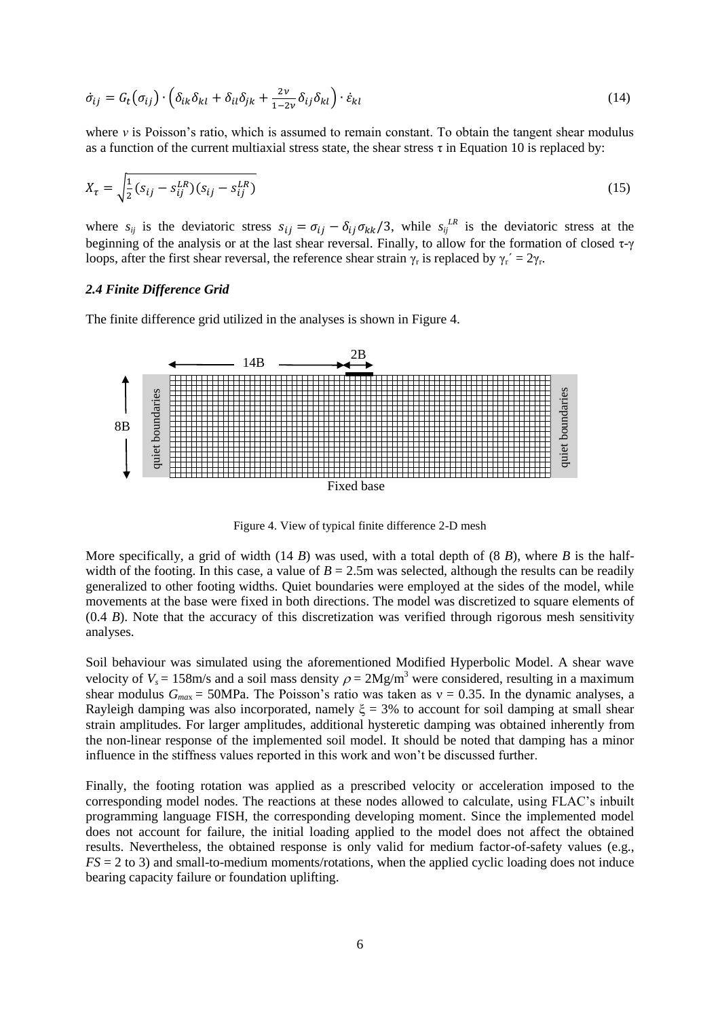$$
\dot{\sigma}_{ij} = G_t(\sigma_{ij}) \cdot \left( \delta_{ik} \delta_{kl} + \delta_{il} \delta_{jk} + \frac{2\nu}{1 - 2\nu} \delta_{ij} \delta_{kl} \right) \cdot \dot{\varepsilon}_{kl} \tag{14}
$$

where *v* is Poisson's ratio, which is assumed to remain constant. To obtain the tangent shear modulus as a function of the current multiaxial stress state, the shear stress  $\tau$  in Equation 10 is replaced by:

$$
X_{\tau} = \sqrt{\frac{1}{2}(s_{ij} - s_{ij}^{LR})(s_{ij} - s_{ij}^{LR})}
$$
(15)

where  $s_{ij}$  is the deviatoric stress  $s_{ij} = \sigma_{ij} - \delta_{ij} \sigma_{kk}/3$ , while  $s_{ij}^{LR}$  is the deviatoric stress at the beginning of the analysis or at the last shear reversal. Finally, to allow for the formation of closed τ-γ loops, after the first shear reversal, the reference shear strain  $\gamma_r$  is replaced by  $\gamma_r' = 2\gamma_r$ .

## *2.4 Finite Difference Grid*

The finite difference grid utilized in the analyses is shown in Figure 4.



Figure 4. View of typical finite difference 2-D mesh

More specifically, a grid of width  $(14 B)$  was used, with a total depth of  $(8 B)$ , where  $B$  is the halfwidth of the footing. In this case, a value of  $B = 2.5$ m was selected, although the results can be readily generalized to other footing widths. Quiet boundaries were employed at the sides of the model, while movements at the base were fixed in both directions. The model was discretized to square elements of (0.4 *B*). Note that the accuracy of this discretization was verified through rigorous mesh sensitivity analyses.

Soil behaviour was simulated using the aforementioned Modified Hyperbolic Model. A shear wave velocity of  $V_s = 158$ m/s and a soil mass density  $\rho = 2Mg/m^3$  were considered, resulting in a maximum shear modulus  $G_{max} = 50MPa$ . The Poisson's ratio was taken as  $v = 0.35$ . In the dynamic analyses, a Rayleigh damping was also incorporated, namely  $\xi = 3%$  to account for soil damping at small shear strain amplitudes. For larger amplitudes, additional hysteretic damping was obtained inherently from the non-linear response of the implemented soil model. It should be noted that damping has a minor influence in the stiffness values reported in this work and won't be discussed further.

Finally, the footing rotation was applied as a prescribed velocity or acceleration imposed to the corresponding model nodes. The reactions at these nodes allowed to calculate, using FLAC's inbuilt programming language FISH, the corresponding developing moment. Since the implemented model does not account for failure, the initial loading applied to the model does not affect the obtained results. Nevertheless, the obtained response is only valid for medium factor-of-safety values (e.g., *FS* = 2 to 3) and small-to-medium moments/rotations, when the applied cyclic loading does not induce bearing capacity failure or foundation uplifting.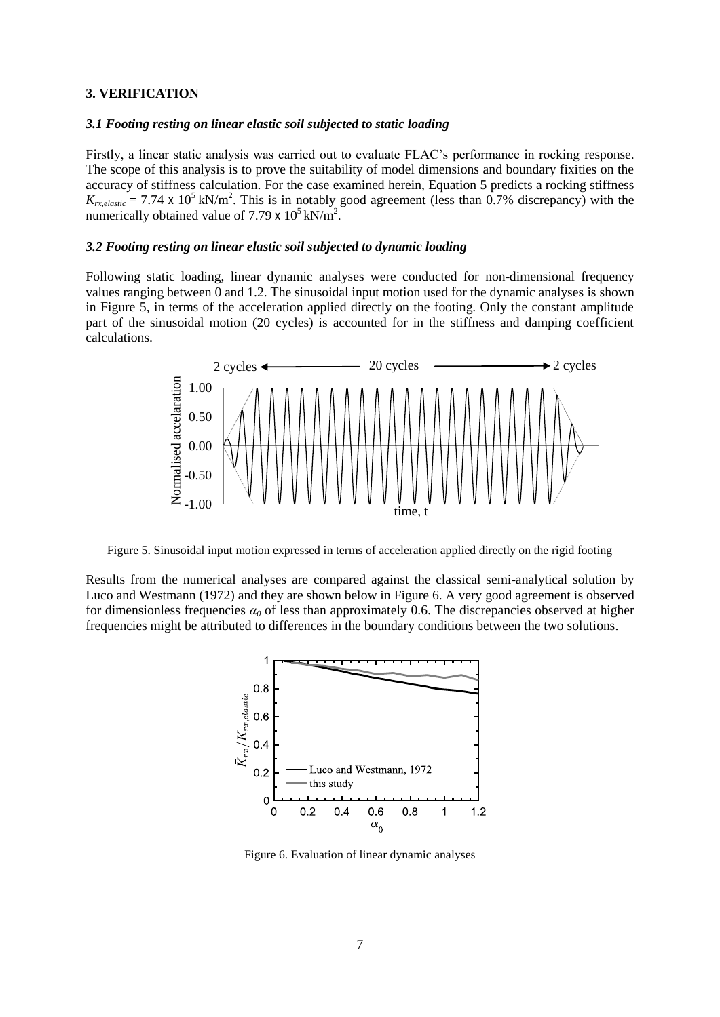#### **3. VERIFICATION**

#### *3.1 Footing resting on linear elastic soil subjected to static loading*

Firstly, a linear static analysis was carried out to evaluate FLAC's performance in rocking response. The scope of this analysis is to prove the suitability of model dimensions and boundary fixities on the accuracy of stiffness calculation. For the case examined herein, Equation 5 predicts a rocking stiffness  $K_{rx,elastic} = 7.74 \times 10^5 \text{ kN/m}^2$ . This is in notably good agreement (less than 0.7% discrepancy) with the numerically obtained value of 7.79 x  $10^5$  kN/m<sup>2</sup>.

#### *3.2 Footing resting on linear elastic soil subjected to dynamic loading*

Following static loading, linear dynamic analyses were conducted for non-dimensional frequency values ranging between 0 and 1.2. The sinusoidal input motion used for the dynamic analyses is shown in Figure 5, in terms of the acceleration applied directly on the footing. Only the constant amplitude part of the sinusoidal motion (20 cycles) is accounted for in the stiffness and damping coefficient calculations.



Figure 5. Sinusoidal input motion expressed in terms of acceleration applied directly on the rigid footing

Results from the numerical analyses are compared against the classical semi-analytical solution by Luco and Westmann (1972) and they are shown below in Figure 6. A very good agreement is observed for dimensionless frequencies  $\alpha_0$  of less than approximately 0.6. The discrepancies observed at higher frequencies might be attributed to differences in the boundary conditions between the two solutions.



Figure 6. Evaluation of linear dynamic analyses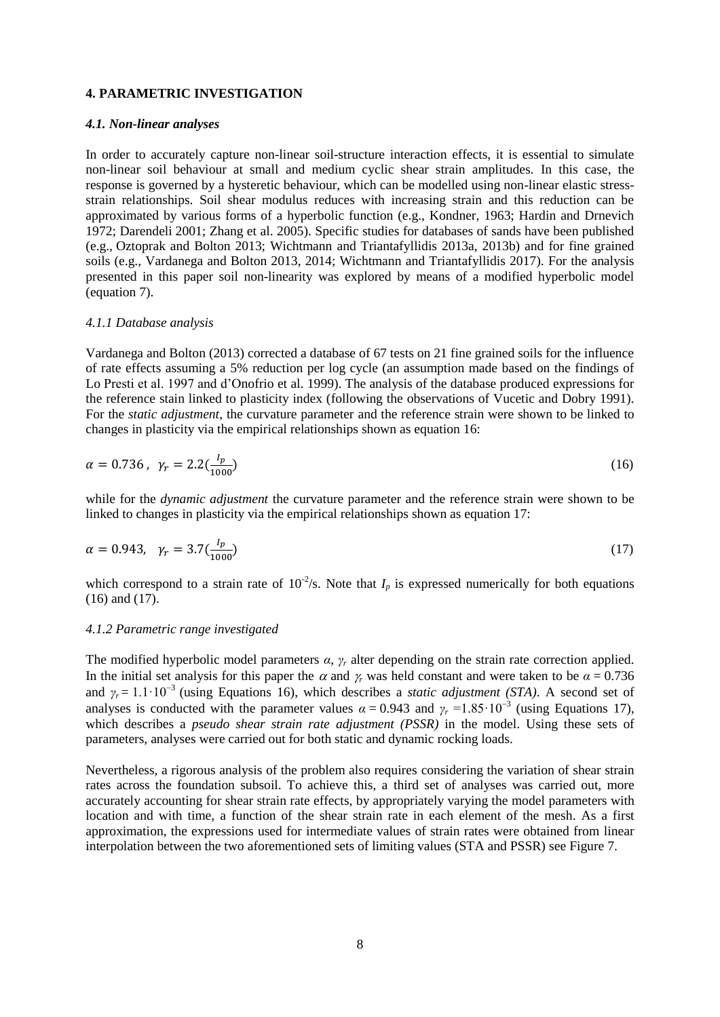### **4. PARAMETRIC INVESTIGATION**

#### *4.1. Non-linear analyses*

In order to accurately capture non-linear soil-structure interaction effects, it is essential to simulate non-linear soil behaviour at small and medium cyclic shear strain amplitudes. In this case, the response is governed by a hysteretic behaviour, which can be modelled using non-linear elastic stressstrain relationships. Soil shear modulus reduces with increasing strain and this reduction can be approximated by various forms of a hyperbolic function (e.g., Kondner, 1963; Hardin and Drnevich 1972; Darendeli 2001; Zhang et al. 2005). Specific studies for databases of sands have been published (e.g., Oztoprak and Bolton 2013; Wichtmann and Triantafyllidis 2013a, 2013b) and for fine grained soils (e.g., Vardanega and Bolton 2013, 2014; Wichtmann and Triantafyllidis 2017). For the analysis presented in this paper soil non-linearity was explored by means of a modified hyperbolic model (equation 7).

#### *4.1.1 Database analysis*

Vardanega and Bolton (2013) corrected a database of 67 tests on 21 fine grained soils for the influence of rate effects assuming a 5% reduction per log cycle (an assumption made based on the findings of Lo Presti et al. 1997 and d'Onofrio et al. 1999). The analysis of the database produced expressions for the reference stain linked to plasticity index (following the observations of Vucetic and Dobry 1991). For the *static adjustment*, the curvature parameter and the reference strain were shown to be linked to changes in plasticity via the empirical relationships shown as equation 16:

$$
\alpha = 0.736 \,, \, \gamma_r = 2.2 \left( \frac{I_p}{1000} \right) \tag{16}
$$

while for the *dynamic adjustment* the curvature parameter and the reference strain were shown to be linked to changes in plasticity via the empirical relationships shown as equation 17:

$$
\alpha = 0.943, \ \gamma_r = 3.7 \left(\frac{l_p}{1000}\right) \tag{17}
$$

which correspond to a strain rate of  $10^{-2}/s$ . Note that  $I_p$  is expressed numerically for both equations (16) and (17).

#### *4.1.2 Parametric range investigated*

The modified hyperbolic model parameters  $\alpha$ ,  $\gamma$ <sup>r</sup> alter depending on the strain rate correction applied. In the initial set analysis for this paper the  $\alpha$  and  $\gamma$  was held constant and were taken to be  $\alpha = 0.736$ and  $\gamma_r = 1.1 \cdot 10^{-3}$  (using Equations 16), which describes a *static adjustment (STA)*. A second set of analyses is conducted with the parameter values  $\alpha = 0.943$  and  $\gamma_r = 1.85 \cdot 10^{-3}$  (using Equations 17), which describes a *pseudo shear strain rate adjustment (PSSR)* in the model. Using these sets of parameters, analyses were carried out for both static and dynamic rocking loads.

Nevertheless, a rigorous analysis of the problem also requires considering the variation of shear strain rates across the foundation subsoil. To achieve this, a third set of analyses was carried out, more accurately accounting for shear strain rate effects, by appropriately varying the model parameters with location and with time, a function of the shear strain rate in each element of the mesh. As a first approximation, the expressions used for intermediate values of strain rates were obtained from linear interpolation between the two aforementioned sets of limiting values (STA and PSSR) see Figure 7.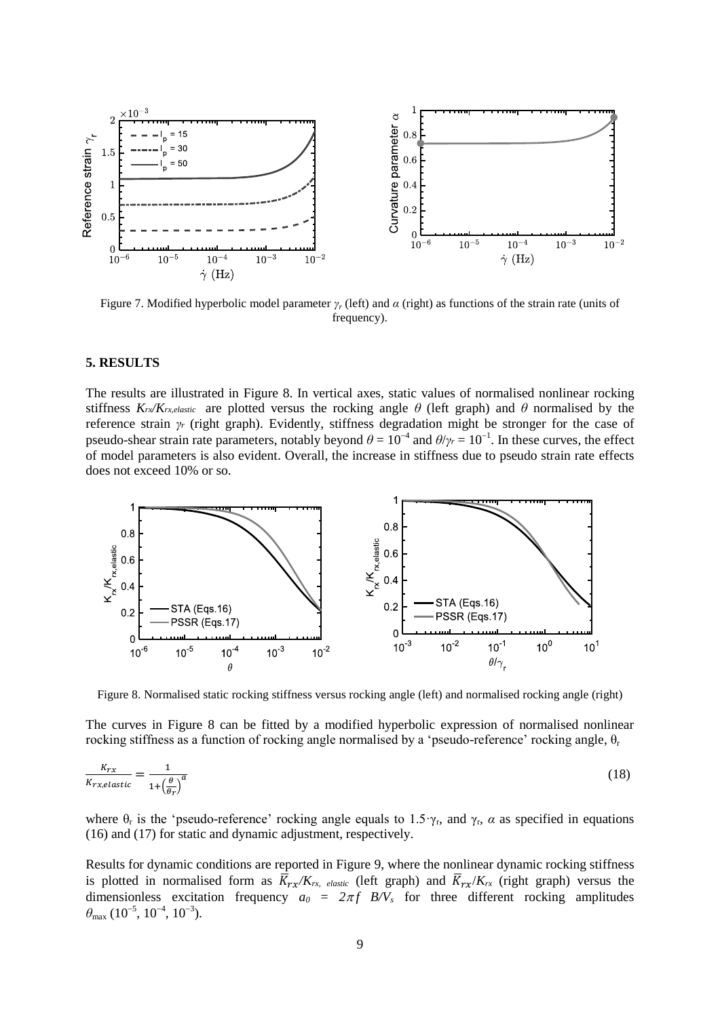

Figure 7. Modified hyperbolic model parameter *γ<sup>r</sup>* (left) and *α* (right) as functions of the strain rate (units of frequency).

## **5. RESULTS**

The results are illustrated in Figure 8. In vertical axes, static values of normalised nonlinear rocking stiffness  $K_r \times K_{rx,elastic}$  are plotted versus the rocking angle  $\theta$  (left graph) and  $\theta$  normalised by the reference strain *γ<sup>r</sup>* (right graph). Evidently, stiffness degradation might be stronger for the case of pseudo-shear strain rate parameters, notably beyond  $\theta = 10^{-4}$  and  $\theta/\gamma_r = 10^{-1}$ . In these curves, the effect of model parameters is also evident. Overall, the increase in stiffness due to pseudo strain rate effects does not exceed 10% or so.



Figure 8. Normalised static rocking stiffness versus rocking angle (left) and normalised rocking angle (right)

The curves in Figure 8 can be fitted by a modified hyperbolic expression of normalised nonlinear rocking stiffness as a function of rocking angle normalised by a 'pseudo-reference' rocking angle,  $θ_r$ 

$$
\frac{K_{rx}}{K_{rx,elastic}} = \frac{1}{1 + \left(\frac{\theta}{\theta r}\right)^a} \tag{18}
$$

where  $\theta_r$  is the 'pseudo-reference' rocking angle equals to 1.5  $\gamma_r$ , and  $\gamma_r$ ,  $\alpha$  as specified in equations (16) and (17) for static and dynamic adjustment, respectively.

Results for dynamic conditions are reported in Figure 9, where the nonlinear dynamic rocking stiffness is plotted in normalised form as  $\overline{K}_{rx}/K_{rx}$ , *elastic* (left graph) and  $\overline{K}_{rx}/K_{rx}$  (right graph) versus the dimensionless excitation frequency  $a_0 = 2\pi f B/V_s$  for three different rocking amplitudes  $\theta_{\text{max}}$  (10<sup>-5</sup>, 10<sup>-4</sup>, 10<sup>-3</sup>).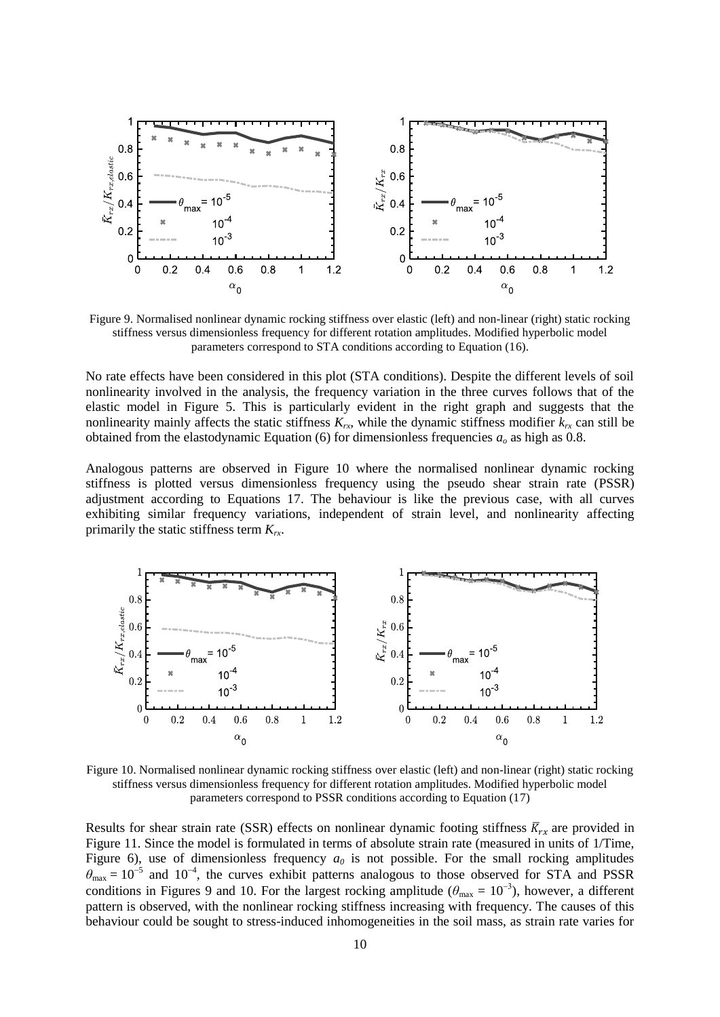

Figure 9. Normalised nonlinear dynamic rocking stiffness over elastic (left) and non-linear (right) static rocking stiffness versus dimensionless frequency for different rotation amplitudes. Modified hyperbolic model parameters correspond to STA conditions according to Equation (16).

No rate effects have been considered in this plot (STA conditions). Despite the different levels of soil nonlinearity involved in the analysis, the frequency variation in the three curves follows that of the elastic model in Figure 5. This is particularly evident in the right graph and suggests that the nonlinearity mainly affects the static stiffness  $K_r$ , while the dynamic stiffness modifier  $k_r$  can still be obtained from the elastodynamic Equation (6) for dimensionless frequencies *a<sup>o</sup>* as high as 0.8.

Analogous patterns are observed in Figure 10 where the normalised nonlinear dynamic rocking stiffness is plotted versus dimensionless frequency using the pseudo shear strain rate (PSSR) adjustment according to Equations 17. The behaviour is like the previous case, with all curves exhibiting similar frequency variations, independent of strain level, and nonlinearity affecting primarily the static stiffness term *Krx*.



Figure 10. Normalised nonlinear dynamic rocking stiffness over elastic (left) and non-linear (right) static rocking stiffness versus dimensionless frequency for different rotation amplitudes. Modified hyperbolic model parameters correspond to PSSR conditions according to Equation (17)

Results for shear strain rate (SSR) effects on nonlinear dynamic footing stiffness  $\bar{K}_{rx}$  are provided in Figure 11. Since the model is formulated in terms of absolute strain rate (measured in units of 1/Time, Figure 6), use of dimensionless frequency  $a_0$  is not possible. For the small rocking amplitudes  $\theta_{\text{max}} = 10^{-5}$  and 10<sup>-4</sup>, the curves exhibit patterns analogous to those observed for STA and PSSR conditions in Figures 9 and 10. For the largest rocking amplitude ( $\theta_{\text{max}} = 10^{-3}$ ), however, a different pattern is observed, with the nonlinear rocking stiffness increasing with frequency. The causes of this behaviour could be sought to stress-induced inhomogeneities in the soil mass, as strain rate varies for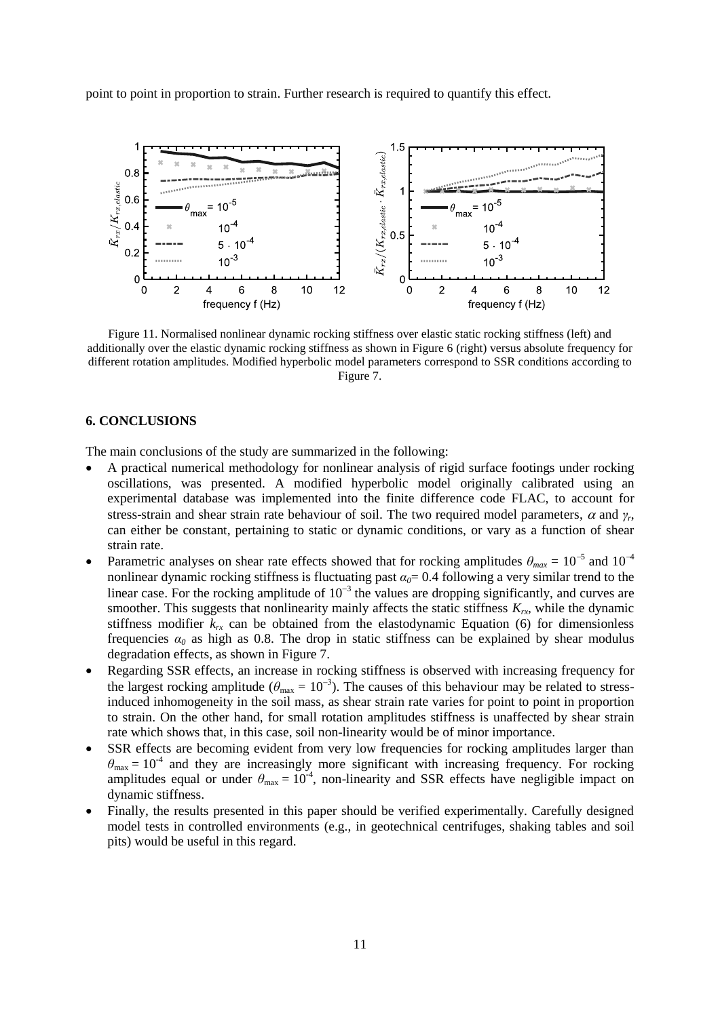point to point in proportion to strain. Further research is required to quantify this effect.



Figure 11. Normalised nonlinear dynamic rocking stiffness over elastic static rocking stiffness (left) and additionally over the elastic dynamic rocking stiffness as shown in Figure 6 (right) versus absolute frequency for different rotation amplitudes. Modified hyperbolic model parameters correspond to SSR conditions according to Figure 7.

## **6. CONCLUSIONS**

The main conclusions of the study are summarized in the following:

- A practical numerical methodology for nonlinear analysis of rigid surface footings under rocking oscillations, was presented. A modified hyperbolic model originally calibrated using an experimental database was implemented into the finite difference code FLAC, to account for stress-strain and shear strain rate behaviour of soil. The two required model parameters,  $\alpha$  and  $\gamma_r$ , can either be constant, pertaining to static or dynamic conditions, or vary as a function of shear strain rate.
- Parametric analyses on shear rate effects showed that for rocking amplitudes  $\theta_{max} = 10^{-5}$  and  $10^{-4}$ nonlinear dynamic rocking stiffness is fluctuating past *α0*= 0.4 following a very similar trend to the linear case. For the rocking amplitude of  $10^{-3}$  the values are dropping significantly, and curves are smoother. This suggests that nonlinearity mainly affects the static stiffness  $K_{rx}$ , while the dynamic stiffness modifier  $k_{rx}$  can be obtained from the elastodynamic Equation (6) for dimensionless frequencies  $\alpha_0$  as high as 0.8. The drop in static stiffness can be explained by shear modulus degradation effects, as shown in Figure 7.
- Regarding SSR effects, an increase in rocking stiffness is observed with increasing frequency for the largest rocking amplitude ( $\theta_{\text{max}} = 10^{-3}$ ). The causes of this behaviour may be related to stressinduced inhomogeneity in the soil mass, as shear strain rate varies for point to point in proportion to strain. On the other hand, for small rotation amplitudes stiffness is unaffected by shear strain rate which shows that, in this case, soil non-linearity would be of minor importance.
- SSR effects are becoming evident from very low frequencies for rocking amplitudes larger than  $\theta_{\text{max}} = 10^{-4}$  and they are increasingly more significant with increasing frequency. For rocking amplitudes equal or under  $\theta_{\text{max}} = 10^{-4}$ , non-linearity and SSR effects have negligible impact on dynamic stiffness.
- Finally, the results presented in this paper should be verified experimentally. Carefully designed model tests in controlled environments (e.g., in geotechnical centrifuges, shaking tables and soil pits) would be useful in this regard.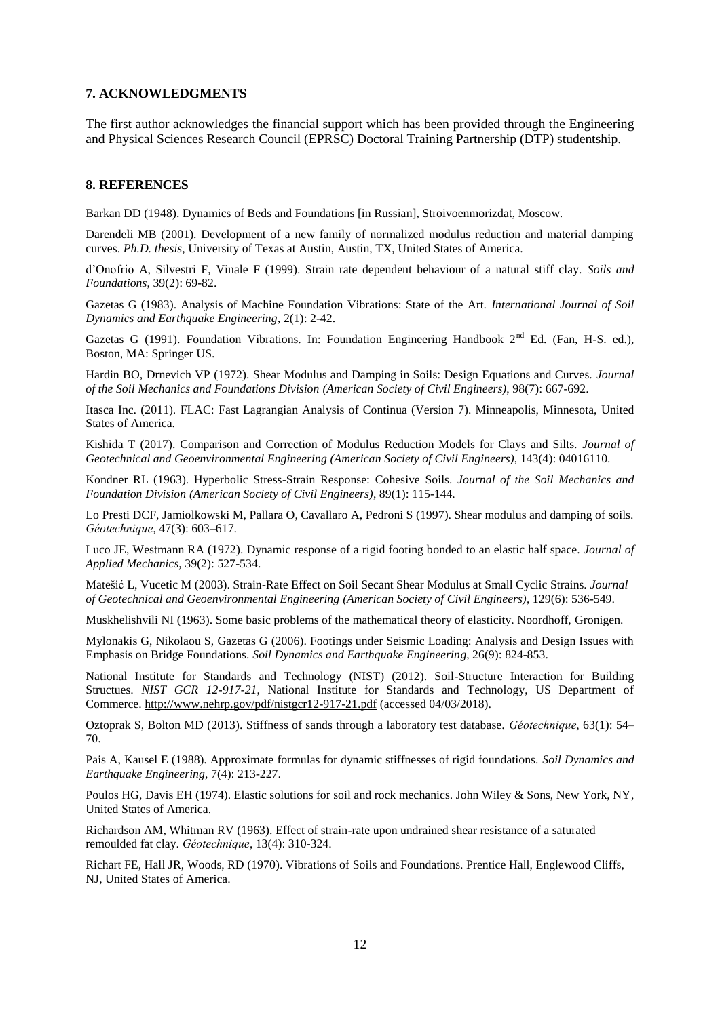#### **7. ACKNOWLEDGMENTS**

The first author acknowledges the financial support which has been provided through the Engineering and Physical Sciences Research Council (EPRSC) Doctoral Training Partnership (DTP) studentship.

#### **8. REFERENCES**

Barkan DD (1948). Dynamics of Beds and Foundations [in Russian], Stroivoenmorizdat, Moscow.

Darendeli MB (2001). Development of a new family of normalized modulus reduction and material damping curves. *Ph.D. thesis*, University of Texas at Austin, Austin, TX, United States of America.

d'Onofrio A, Silvestri F, Vinale F (1999). Strain rate dependent behaviour of a natural stiff clay. *Soils and Foundations*, 39(2): 69-82.

Gazetas G (1983). Analysis of Machine Foundation Vibrations: State of the Art. *International Journal of Soil Dynamics and Earthquake Engineering*, 2(1): 2-42.

Gazetas G (1991). Foundation Vibrations. In: Foundation Engineering Handbook  $2^{nd}$  Ed. (Fan, H-S. ed.), Boston, MA: Springer US.

Hardin BO, Drnevich VP (1972). Shear Modulus and Damping in Soils: Design Equations and Curves. *Journal of the Soil Mechanics and Foundations Division (American Society of Civil Engineers)*, 98(7): 667-692.

Itasca Inc. (2011). FLAC: Fast Lagrangian Analysis of Continua (Version 7). Minneapolis, Minnesota, United States of America.

Kishida T (2017). Comparison and Correction of Modulus Reduction Models for Clays and Silts. *Journal of Geotechnical and Geoenvironmental Engineering (American Society of Civil Engineers)*, 143(4): 04016110.

Kondner RL (1963). Hyperbolic Stress-Strain Response: Cohesive Soils. *Journal of the Soil Mechanics and Foundation Division (American Society of Civil Engineers)*, 89(1): 115-144.

Lo Presti DCF, Jamiolkowski M, Pallara O, Cavallaro A, Pedroni S (1997). Shear modulus and damping of soils. *Géotechnique*, 47(3): 603–617.

Luco JE, Westmann RA (1972). Dynamic response of a rigid footing bonded to an elastic half space. *Journal of Applied Mechanics*, 39(2): 527-534.

Matešić L, Vucetic M (2003). Strain-Rate Effect on Soil Secant Shear Modulus at Small Cyclic Strains. *Journal of Geotechnical and Geoenvironmental Engineering (American Society of Civil Engineers)*, 129(6): 536-549.

Muskhelishvili NI (1963). Some basic problems of the mathematical theory of elasticity. Noordhoff, Gronigen.

Mylonakis G, Nikolaou S, Gazetas G (2006). Footings under Seismic Loading: Analysis and Design Issues with Emphasis on Bridge Foundations. *Soil Dynamics and Earthquake Engineering*, 26(9): 824-853.

National Institute for Standards and Technology (NIST) (2012). Soil-Structure Interaction for Building Structues. *NIST GCR 12-917-21*, National Institute for Standards and Technology, US Department of Commerce.<http://www.nehrp.gov/pdf/nistgcr12-917-21.pdf> (accessed 04/03/2018).

Oztoprak S, Bolton MD (2013). Stiffness of sands through a laboratory test database. *Géotechnique*, 63(1): 54– 70.

Pais A, Kausel E (1988). Approximate formulas for dynamic stiffnesses of rigid foundations. *Soil Dynamics and Earthquake Engineering*, 7(4): 213-227.

Poulos HG, Davis EH (1974). Elastic solutions for soil and rock mechanics. John Wiley & Sons, New York, NY, United States of America.

Richardson AM, Whitman RV (1963). Effect of strain-rate upon undrained shear resistance of a saturated remoulded fat clay. *Géotechnique*, 13(4): 310-324.

Richart FE, Hall JR, Woods, RD (1970). Vibrations of Soils and Foundations. Prentice Hall, Englewood Cliffs, NJ, United States of America.